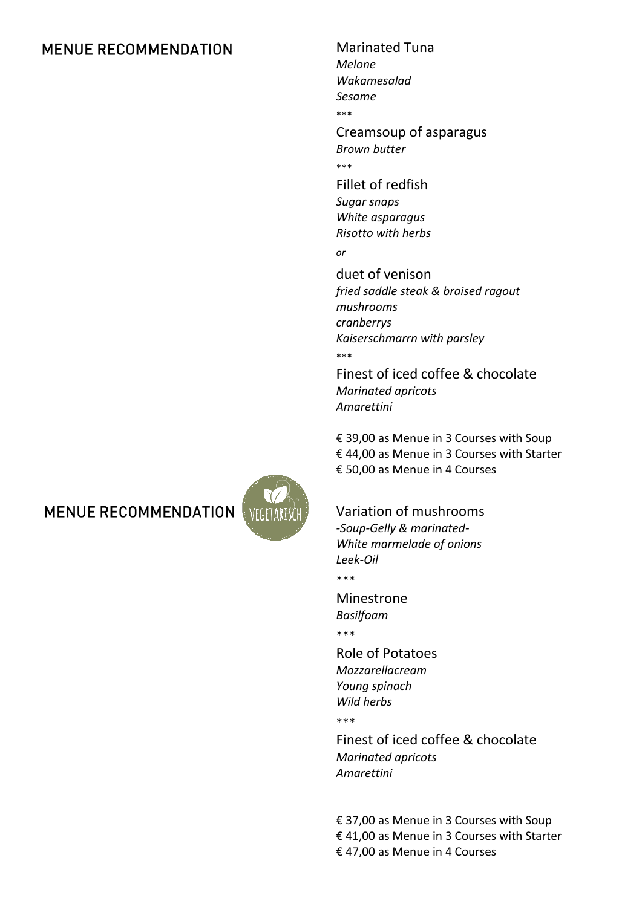### **MENUE RECOMMENDATION**

#### Marinated Tuna

*Melone Wakamesalad Sesame* \*\*\* Creamsoup of asparagus *Brown butter* \*\*\*

Fillet of redfish *Sugar snaps White asparagus Risotto with herbs*

*or* 

duet of venison *fried saddle steak & braised ragout mushrooms cranberrys Kaiserschmarrn with parsley* \*\*\*

Finest of iced coffee & chocolate *Marinated apricots Amarettini*

€ 39,00 as Menue in 3 Courses with Soup € 44,00 as Menue in 3 Courses with Starter € 50,00 as Menue in 4 Courses

# **MENUE RECOMMENDATION**



#### Variation of mushrooms

*-Soup-Gelly & marinated-White marmelade of onions Leek-Oil*

\*\*\*

Minestrone *Basilfoam* 

\*\*\*

Role of Potatoes *Mozzarellacream Young spinach Wild herbs*

\*\*\*

Finest of iced coffee & chocolate *Marinated apricots Amarettini*

€ 37,00 as Menue in 3 Courses with Soup € 41,00 as Menue in 3 Courses with Starter € 47,00 as Menue in 4 Courses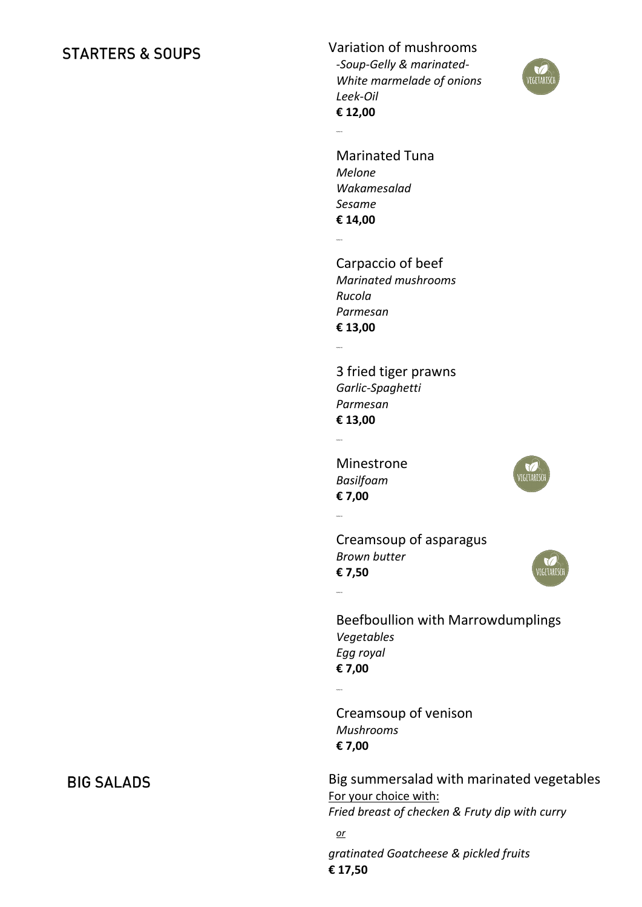### **STARTERS & SOUPS**

Variation of mushrooms *-Soup-Gelly & marinated-White marmelade of onions Leek-Oil* **€ 12,00** 



Marinated Tuna *Melone Wakamesalad Sesame* **€ 14,00**  ~~~

~~~

~~~

~~~

~~~

~~~

~~~

Carpaccio of beef *Marinated mushrooms Rucola Parmesan* **€ 13,00**

3 fried tiger prawns *Garlic-Spaghetti Parmesan* **€ 13,00**

Minestrone *Basilfoam*  **€ 7,00**

Creamsoup of asparagus *Brown butter* **€ 7,50**



Beefboullion with Marrowdumplings *Vegetables Egg royal* **€ 7,00**

Creamsoup of venison *Mushrooms* **€ 7,00**

Big summersalad with marinated vegetables For your choice with: *Fried breast of checken & Fruty dip with curry*

*or gratinated Goatcheese & pickled fruits* **€ 17,50** 

## **BIG SALADS**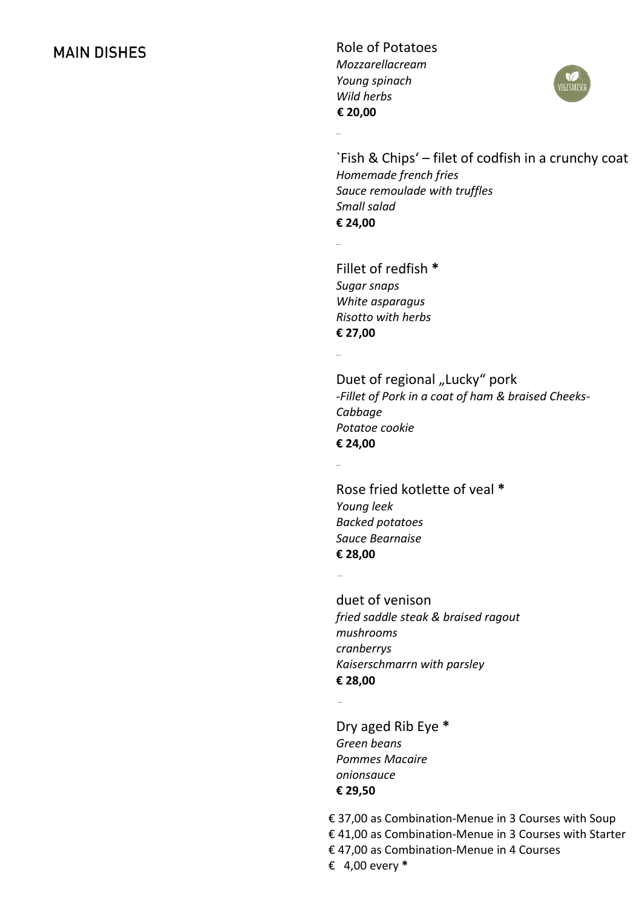#### **MAIN DISHES**

Role of Potatoes *Mozzarellacream Young spinach Wild herbs* **€ 20,00**

~~~

~~~

~~~

~~~



`Fish & Chips' – filet of codfish in a crunchy coat *Homemade french fries Sauce remoulade with truffles Small salad* **€ 24,00**

Fillet of redfish **\*** *Sugar snaps White asparagus Risotto with herbs* **€ 27,00**

Duet of regional "Lucky" pork *-Fillet of Pork in a coat of ham & braised Cheeks-Cabbage Potatoe cookie* **€ 24,00**

Rose fried kotlette of veal **\*** *Young leek Backed potatoes Sauce Bearnaise* **€ 28,00**

~~~

duet of venison *fried saddle steak & braised ragout mushrooms cranberrys Kaiserschmarrn with parsley* **€ 28,00**

~~~

Dry aged Rib Eye **\*** *Green beans Pommes Macaire onionsauce* **€ 29,50**

€ 37,00 as Combination-Menue in 3 Courses with Soup € 41,00 as Combination-Menue in 3 Courses with Starter € 47,00 as Combination-Menue in 4 Courses € 4,00 every **\***